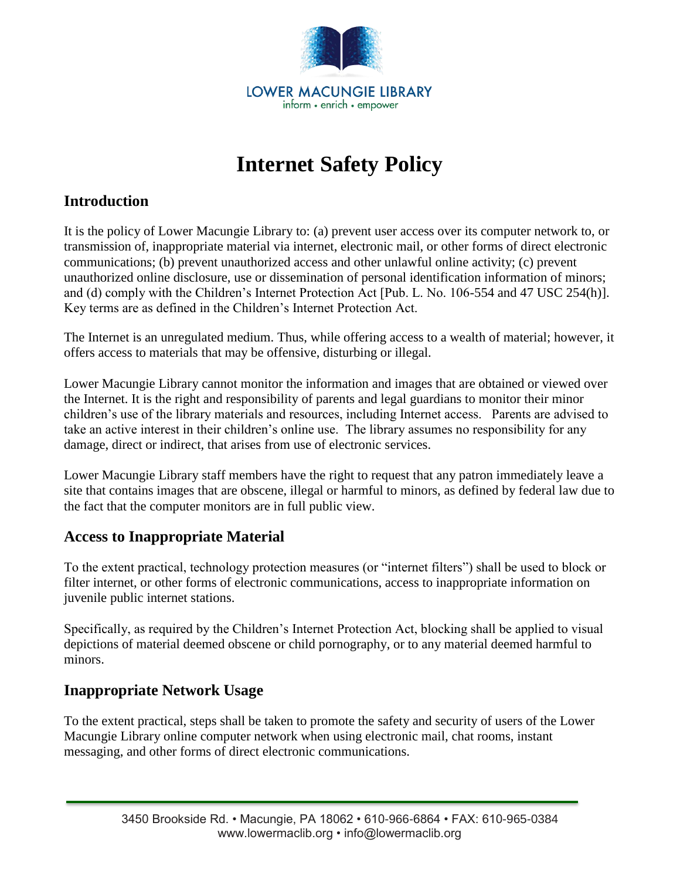

# **Internet Safety Policy**

## **Introduction**

It is the policy of Lower Macungie Library to: (a) prevent user access over its computer network to, or transmission of, inappropriate material via internet, electronic mail, or other forms of direct electronic communications; (b) prevent unauthorized access and other unlawful online activity; (c) prevent unauthorized online disclosure, use or dissemination of personal identification information of minors; and (d) comply with the Children's Internet Protection Act [Pub. L. No. 106-554 and 47 USC 254(h)]. Key terms are as defined in the Children's Internet Protection Act.

The Internet is an unregulated medium. Thus, while offering access to a wealth of material; however, it offers access to materials that may be offensive, disturbing or illegal.

Lower Macungie Library cannot monitor the information and images that are obtained or viewed over the Internet. It is the right and responsibility of parents and legal guardians to monitor their minor children's use of the library materials and resources, including Internet access. Parents are advised to take an active interest in their children's online use. The library assumes no responsibility for any damage, direct or indirect, that arises from use of electronic services.

Lower Macungie Library staff members have the right to request that any patron immediately leave a site that contains images that are obscene, illegal or harmful to minors, as defined by federal law due to the fact that the computer monitors are in full public view.

### **Access to Inappropriate Material**

To the extent practical, technology protection measures (or "internet filters") shall be used to block or filter internet, or other forms of electronic communications, access to inappropriate information on juvenile public internet stations.

Specifically, as required by the Children's Internet Protection Act, blocking shall be applied to visual depictions of material deemed obscene or child pornography, or to any material deemed harmful to minors.

### **Inappropriate Network Usage**

To the extent practical, steps shall be taken to promote the safety and security of users of the Lower Macungie Library online computer network when using electronic mail, chat rooms, instant messaging, and other forms of direct electronic communications.